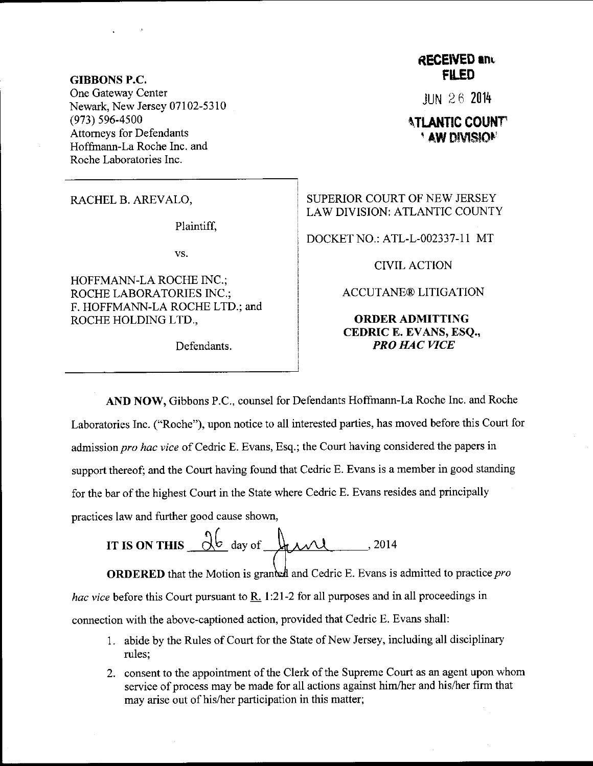GIBBONS P.C. One Gateway Center Newark, New Jersey 07102-5310  $(973)$  596-4500 Attomeys for Defendants Hoffmann-La Roche Inc. and Roche Laboratories Inc.

RACHEL B. AREVALO,

Plaintiff,

vs.

HOFFMANN-LA ROCHE INC.; ROCHE LABORATORIES INC.; F. HOFFMANN-LA ROCHE LTD.; and ROCHE HOLDING LTD,,

Defendants.

## **RECEIVED and FILED**

JUN 2 6 20i4

## **ATLANTIC COUNT** ' AW DIVISION

SUPERIOR COURT OF NEW JERSEY LAW DIVISION: ATLANTIC COUNTY

DOCKET NO.: ATL-L-002337-1 1 MT

CIVIL ACTION

ACCUTANE@ LITIGATION

## ORDERADMITTING CEDRIC E. EVANS, ESQ., **PRO HAC VICE**

AND NOW, Gibbons P.C., counsel for Defendants Hoffmann-La Roche Inc. and Roche Laboratories Inc. ("Roche"), upon notice to all interested parties, has moved before this Court for admission pro hac vice of Cedric E. Evans, Esq.; the Court having considered the papers in support thereof; and the Court having found that Cedric E. Evans is a member in good standing for the bar of the highest Court in the State where Cedric E. Evans resides and principally practices law and further good cause shown,

IT IS ON THIS  $\frac{\partial b}{\partial x}$  day of  $\mu x$ , 2014

**ORDERED** that the Motion is granted and Cedric E. Evans is admitted to practice *pro* hac vice before this Court pursuant to R. 1:21-2 for all purposes and in all proceedings in connection with the above-captioned action, provided that Cedric E. Evans shall:

- <sup>1</sup>. abide by the Rules of Court for the State of New Jersey, including all disciplinary rules;
- 2. consent to the appointment of the Clerk of the Supreme Court as an agent upon whom service of process may be made for all actions against him/her and his/her firm that may arise out of his/her participation in this matter;